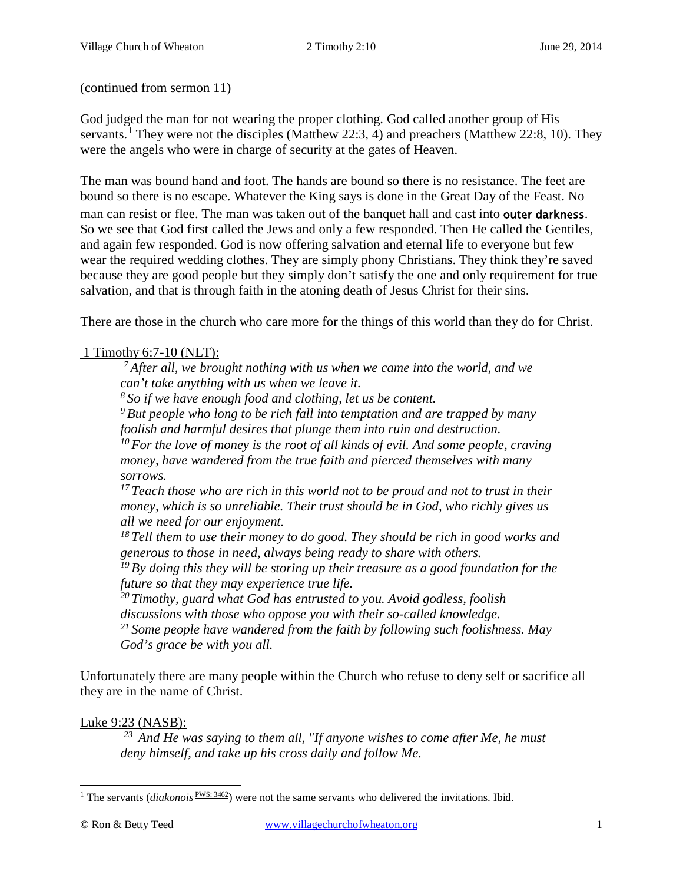(continued from sermon 11)

God judged the man for not wearing the proper clothing. God called another group of His servants.<sup>[1](#page-0-0)</sup> They were not the disciples [\(Matthew 22:3, 4\)](http://www.crossbooks.com/verse.asp?ref=Mt+22%3A3-4) and preachers [\(Matthew 22:8,](http://www.crossbooks.com/verse.asp?ref=Mt+22%3A8) [10\)](http://www.crossbooks.com/verse.asp?ref=Mt+22%3A10). They were the angels who were in charge of security at the gates of Heaven.

The man was bound hand and foot. The hands are bound so there is no resistance. The feet are bound so there is no escape. Whatever the King says is done in the Great Day of the Feast. No man can resist or flee. The man was taken out of the banquet hall and cast into **outer darkness**. So we see that God first called the Jews and only a few responded. Then He called the Gentiles, and again few responded. God is now offering salvation and eternal life to everyone but few wear the required wedding clothes. They are simply phony Christians. They think they're saved because they are good people but they simply don't satisfy the one and only requirement for true salvation, and that is through faith in the atoning death of Jesus Christ for their sins.

There are those in the church who care more for the things of this world than they do for Christ.

# 1 Timothy 6:7-10 (NLT):

*7 After all, we brought nothing with us when we came into the world, and we can't take anything with us when we leave it.* 

*8 So if we have enough food and clothing, let us be content.* 

*9 But people who long to be rich fall into temptation and are trapped by many foolish and harmful desires that plunge them into ruin and destruction.* 

*10 For the love of money is the root of all kinds of evil. And some people, craving money, have wandered from the true faith and pierced themselves with many sorrows.* 

*17 Teach those who are rich in this world not to be proud and not to trust in their money, which is so unreliable. Their trust should be in God, who richly gives us all we need for our enjoyment.* 

*18 Tell them to use their money to do good. They should be rich in good works and generous to those in need, always being ready to share with others.* 

*19 By doing this they will be storing up their treasure as a good foundation for the future so that they may experience true life.* 

*20 Timothy, guard what God has entrusted to you. Avoid godless, foolish discussions with those who oppose you with their so-called knowledge.* 

*21 Some people have wandered from the faith by following such foolishness. May God's grace be with you all.* 

Unfortunately there are many people within the Church who refuse to deny self or sacrifice all they are in the name of Christ.

## Luke 9:23 (NASB):

*23 And He was saying to them all, "If anyone wishes to come after Me, he must deny himself, and take up his cross daily and follow Me.*

<span id="page-0-0"></span><sup>&</sup>lt;sup>1</sup> The servants (*diakonois*  $\frac{PWS: 3462}{P}$ ) were not the same servants who delivered the invitations. Ibid.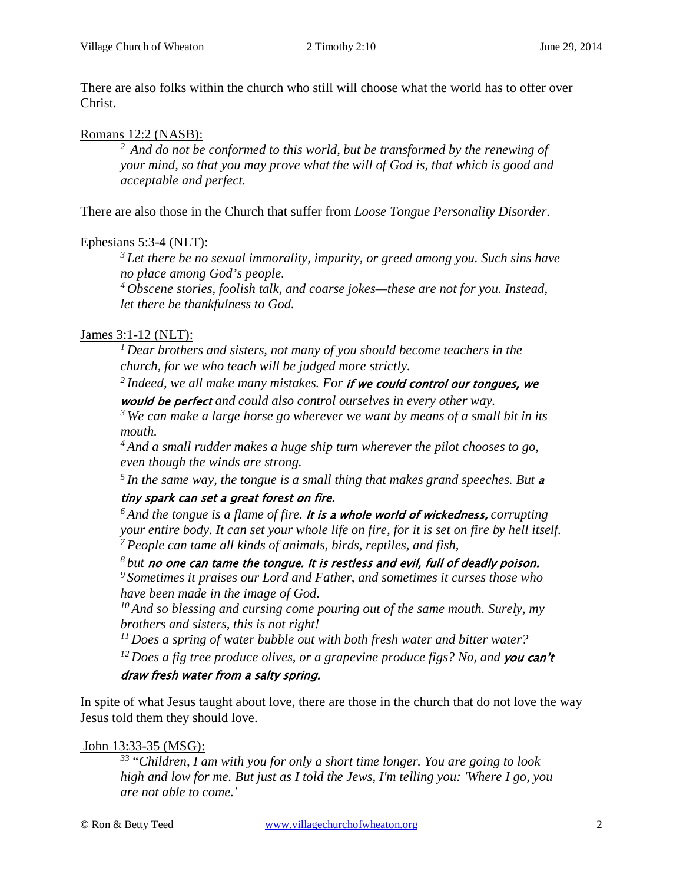There are also folks within the church who still will choose what the world has to offer over Christ.

#### Romans 12:2 (NASB):

*2 And do not be conformed to this world, but be transformed by the renewing of your mind, so that you may prove what the will of God is, that which is good and acceptable and perfect.* 

There are also those in the Church that suffer from *Loose Tongue Personality Disorder*.

## Ephesians 5:3-4 (NLT):

*3 Let there be no sexual immorality, impurity, or greed among you. Such sins have no place among God's people.* 

*4 Obscene stories, foolish talk, and coarse jokes—these are not for you. Instead, let there be thankfulness to God.*

## James 3:1-12 (NLT):

*1 Dear brothers and sisters, not many of you should become teachers in the church, for we who teach will be judged more strictly.* 

*2 Indeed, we all make many mistakes. For* if we could control our tongues, we would be perfect *and could also control ourselves in every other way.* 

*3 We can make a large horse go wherever we want by means of a small bit in its mouth.* 

*4 And a small rudder makes a huge ship turn wherever the pilot chooses to go, even though the winds are strong.* 

*5 In the same way, the tongue is a small thing that makes grand speeches. But* <sup>a</sup>

## tiny spark can set a great forest on fire.

*6 And the tongue is a flame of fire.* It is a whole world of wickedness, *corrupting your entire body. It can set your whole life on fire, for it is set on fire by hell itself. 7 People can tame all kinds of animals, birds, reptiles, and fish,* 

*8 but* no one can tame the tongue. It is restless and evil, full of deadly poison.

*<sup>9</sup> Sometimes it praises our Lord and Father, and sometimes it curses those who have been made in the image of God.* 

*10 And so blessing and cursing come pouring out of the same mouth. Surely, my brothers and sisters, this is not right!* 

*11 Does a spring of water bubble out with both fresh water and bitter water?* 

<sup>12</sup> Does a fig tree produce olives, or a grapevine produce figs? No, and **you can't** 

## draw fresh water from a salty spring.

In spite of what Jesus taught about love, there are those in the church that do not love the way Jesus told them they should love.

## John 13:33-35 (MSG):

*33 "Children, I am with you for only a short time longer. You are going to look high and low for me. But just as I told the Jews, I'm telling you: 'Where I go, you are not able to come.'*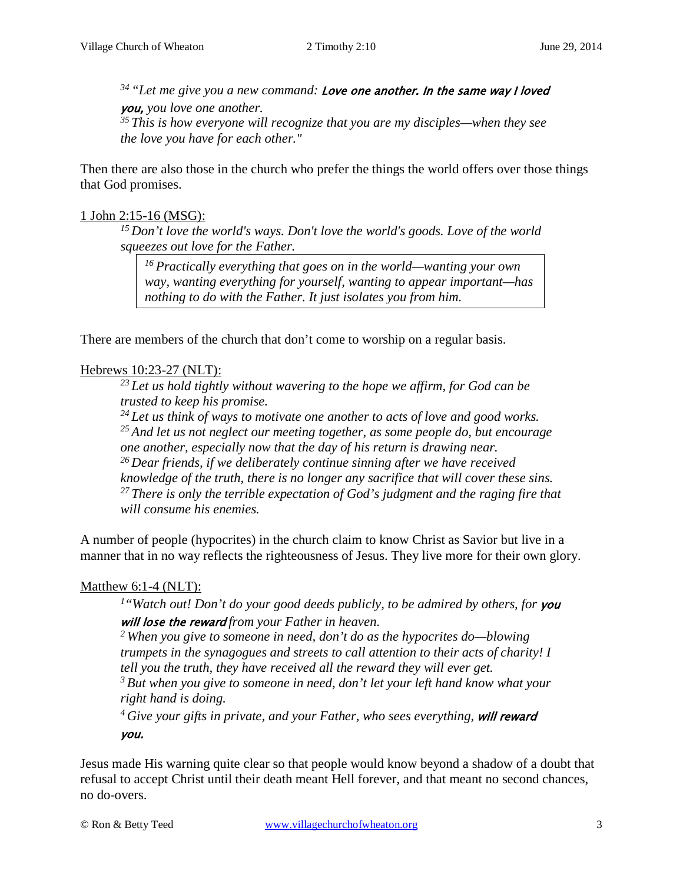*34 "Let me give you a new command:* Love one another. In the same way I loved you, *you love one another. 35 This is how everyone will recognize that you are my disciples—when they see the love you have for each other."* 

Then there are also those in the church who prefer the things the world offers over those things that God promises.

#### 1 John 2:15-16 (MSG):

*15 Don't love the world's ways. Don't love the world's goods. Love of the world squeezes out love for the Father.* 

*16 Practically everything that goes on in the world—wanting your own way, wanting everything for yourself, wanting to appear important—has nothing to do with the Father. It just isolates you from him.*

There are members of the church that don't come to worship on a regular basis.

#### Hebrews 10:23-27 (NLT):

*23 Let us hold tightly without wavering to the hope we affirm, for God can be trusted to keep his promise.* 

*24 Let us think of ways to motivate one another to acts of love and good works. 25 And let us not neglect our meeting together, as some people do, but encourage one another, especially now that the day of his return is drawing near. 26 Dear friends, if we deliberately continue sinning after we have received knowledge of the truth, there is no longer any sacrifice that will cover these sins. 27 There is only the terrible expectation of God's judgment and the raging fire that will consume his enemies.* 

A number of people (hypocrites) in the church claim to know Christ as Savior but live in a manner that in no way reflects the righteousness of Jesus. They live more for their own glory.

## Matthew 6:1-4 (NLT):

<sup>1</sup>"Watch out! Don't do your good deeds publicly, to be admired by others, for you will lose the reward *from your Father in heaven.* 

*2 When you give to someone in need, don't do as the hypocrites do—blowing trumpets in the synagogues and streets to call attention to their acts of charity! I tell you the truth, they have received all the reward they will ever get.* 

*3 But when you give to someone in need, don't let your left hand know what your right hand is doing.* 

<sup>4</sup> Give your gifts in private, and your Father, who sees everything, **will reward** you.

Jesus made His warning quite clear so that people would know beyond a shadow of a doubt that refusal to accept Christ until their death meant Hell forever, and that meant no second chances, no do-overs.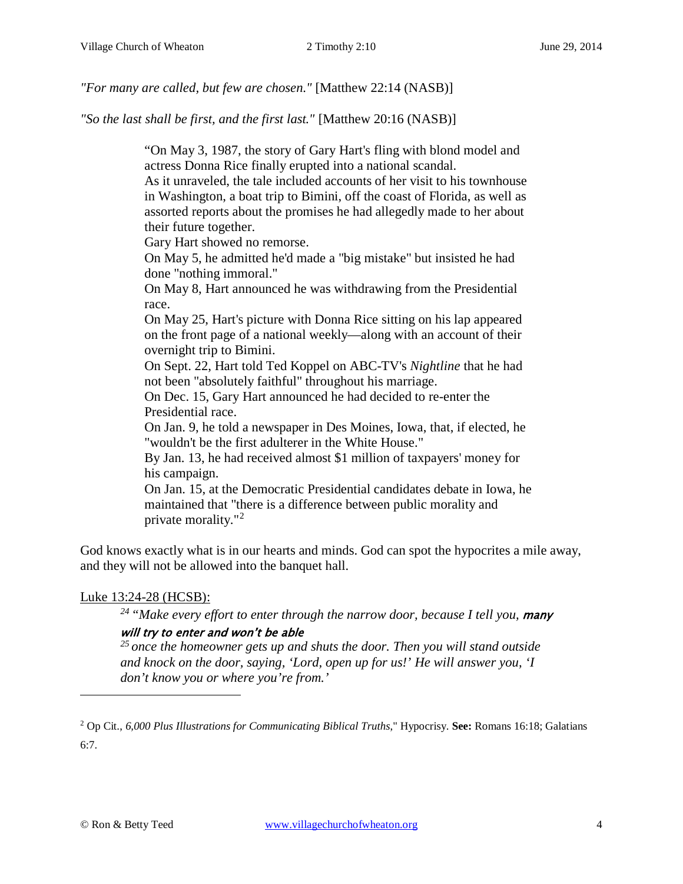*"For many are called, but few are chosen."* [Matthew 22:14 (NASB)]

*"So the last shall be first, and the first last."* [Matthew 20:16 (NASB)]

"On May 3, 1987, the story of Gary Hart's fling with blond model and actress Donna Rice finally erupted into a national scandal.

As it unraveled, the tale included accounts of her visit to his townhouse in Washington, a boat trip to Bimini, off the coast of Florida, as well as assorted reports about the promises he had allegedly made to her about their future together.

Gary Hart showed no remorse.

On May 5, he admitted he'd made a "big mistake" but insisted he had done "nothing immoral."

On May 8, Hart announced he was withdrawing from the Presidential race.

On May 25, Hart's picture with Donna Rice sitting on his lap appeared on the front page of a national weekly—along with an account of their overnight trip to Bimini.

On Sept. 22, Hart told Ted Koppel on ABC-TV's *Nightline* that he had not been "absolutely faithful" throughout his marriage.

On Dec. 15, Gary Hart announced he had decided to re-enter the Presidential race.

On Jan. 9, he told a newspaper in Des Moines, Iowa, that, if elected, he "wouldn't be the first adulterer in the White House."

By Jan. 13, he had received almost \$1 million of taxpayers' money for his campaign.

On Jan. 15, at the Democratic Presidential candidates debate in Iowa, he maintained that "there is a difference between public morality and private morality."[2](#page-3-0)

God knows exactly what is in our hearts and minds. God can spot the hypocrites a mile away, and they will not be allowed into the banquet hall.

## Luke 13:24-28 (HCSB):

<sup>24</sup> "Make every effort to enter through the narrow door, because I tell you, **many** 

## will try to enter and won't be able

*25 once the homeowner gets up and shuts the door. Then you will stand outside and knock on the door, saying, 'Lord, open up for us!' He will answer you, 'I don't know you or where you're from.'* 

<span id="page-3-0"></span><sup>2</sup> Op Cit., *6,000 Plus Illustrations for Communicating Biblical Truths*," Hypocrisy. **See:** [Romans 16:18;](http://www.crossbooks.com/verse.asp?ref=Ro+16%3A18) [Galatians](http://www.crossbooks.com/verse.asp?ref=Gal+6%3A7)  [6:7.](http://www.crossbooks.com/verse.asp?ref=Gal+6%3A7)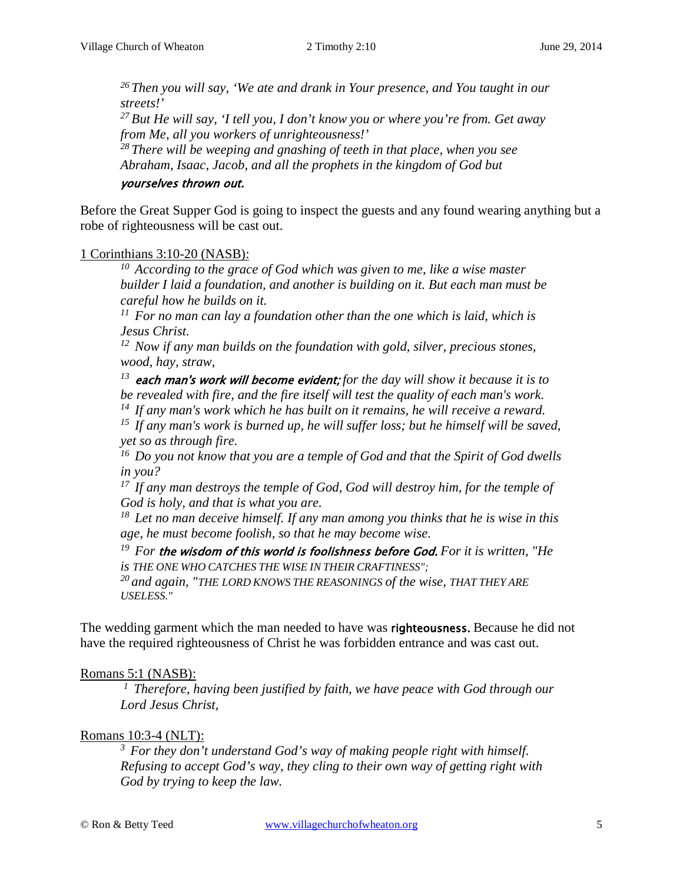*26 Then you will say, 'We ate and drank in Your presence, and You taught in our streets!'* 

*27 But He will say, 'I tell you, I don't know you or where you're from. Get away from Me, all you workers of unrighteousness!'* 

*28 There will be weeping and gnashing of teeth in that place, when you see Abraham, Isaac, Jacob, and all the prophets in the kingdom of God but* 

#### yourselves thrown out.

Before the Great Supper God is going to inspect the guests and any found wearing anything but a robe of righteousness will be cast out.

#### 1 Corinthians 3:10-20 (NASB):

*10 According to the grace of God which was given to me, like a wise master builder I laid a foundation, and another is building on it. But each man must be careful how he builds on it.* 

*11 For no man can lay a foundation other than the one which is laid, which is Jesus Christ.* 

*12 Now if any man builds on the foundation with gold, silver, precious stones, wood, hay, straw,* 

*<sup>13</sup>*each man's work will become evident; *for the day will show it because it is to be revealed with fire, and the fire itself will test the quality of each man's work.* 

*14 If any man's work which he has built on it remains, he will receive a reward.* 

*15 If any man's work is burned up, he will suffer loss; but he himself will be saved, yet so as through fire.* 

*16 Do you not know that you are a temple of God and that the Spirit of God dwells in you?* 

*17 If any man destroys the temple of God, God will destroy him, for the temple of God is holy, and that is what you are.* 

*18 Let no man deceive himself. If any man among you thinks that he is wise in this age, he must become foolish, so that he may become wise.* 

*19 For* the wisdom of this world is foolishness before God. *For it is written, "He is THE ONE WHO CATCHES THE WISE IN THEIR CRAFTINESS";* 

*20 and again, "THE LORD KNOWS THE REASONINGS of the wise, THAT THEY ARE USELESS."* 

The wedding garment which the man needed to have was **righteousness**. Because he did not have the required righteousness of Christ he was forbidden entrance and was cast out.

## Romans 5:1 (NASB):

*1 Therefore, having been justified by faith, we have peace with God through our Lord Jesus Christ,* 

## Romans 10:3-4 (NLT):

*3 For they don't understand God's way of making people right with himself. Refusing to accept God's way, they cling to their own way of getting right with God by trying to keep the law.*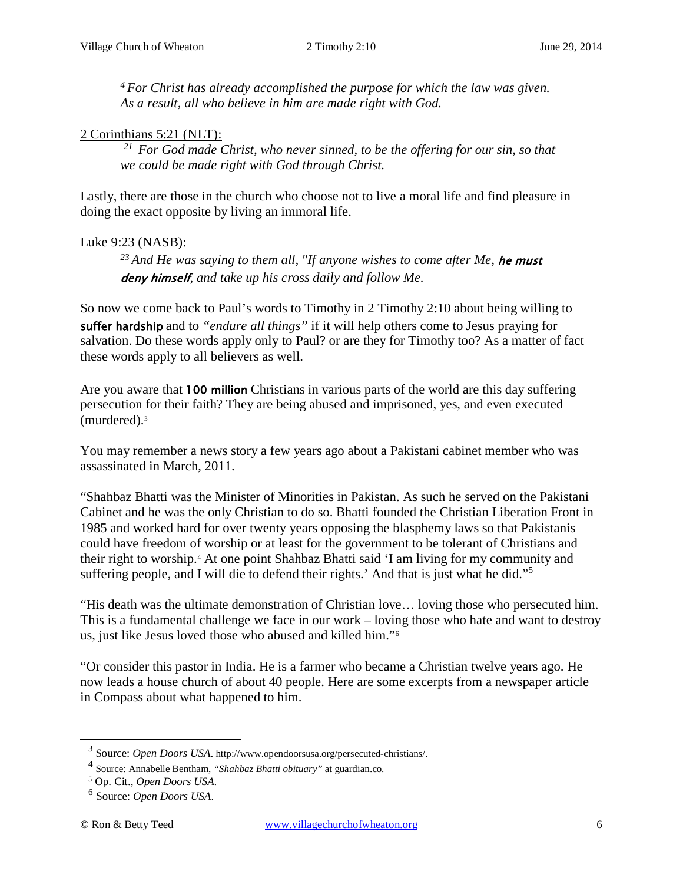*4 For Christ has already accomplished the purpose for which the law was given. As a result, all who believe in him are made right with God.*

#### 2 Corinthians 5:21 (NLT):

*21 For God made Christ, who never sinned, to be the offering for our sin, so that we could be made right with God through Christ.*

Lastly, there are those in the church who choose not to live a moral life and find pleasure in doing the exact opposite by living an immoral life.

## Luke 9:23 (NASB):

*23 And He was saying to them all, "If anyone wishes to come after Me,* he must deny himself*, and take up his cross daily and follow Me.*

So now we come back to Paul's words to Timothy in 2 Timothy 2:10 about being willing to suffer hardship and to *"endure all things"* if it will help others come to Jesus praying for salvation. Do these words apply only to Paul? or are they for Timothy too? As a matter of fact these words apply to all believers as well.

Are you aware that 100 million Christians in various parts of the world are this day suffering persecution for their faith? They are being abused and imprisoned, yes, and even executed (murdered)[.3](#page-5-0)

You may remember a news story a few years ago about a Pakistani cabinet member who was assassinated in March, 2011.

"Shahbaz Bhatti was the Minister of Minorities in Pakistan. As such he served on the Pakistani Cabinet and he was the only Christian to do so. Bhatti founded the Christian Liberation Front in 1985 and worked hard for over twenty years opposing the blasphemy laws so that Pakistanis could have freedom of worship or at least for the government to be tolerant of Christians and their right to worship.[4](#page-5-1) At one point Shahbaz Bhatti said 'I am living for my community and suffering people, and I will die to defend their rights.' And that is just what he did."[5](#page-5-2)

"His death was the ultimate demonstration of Christian love… loving those who persecuted him. This is a fundamental challenge we face in our work – loving those who hate and want to destroy us, just like Jesus loved those who abused and killed him."[6](#page-5-3)

"Or consider this pastor in India. He is a farmer who became a Christian twelve years ago. He now leads a house church of about 40 people. Here are some excerpts from a newspaper article in Compass about what happened to him.

<span id="page-5-0"></span><sup>3</sup> Source: *Open Doors USA*. http://www.opendoorsusa.org/persecuted-christians/.

<span id="page-5-1"></span><sup>4</sup> Source: Annabelle Bentham, *"Shahbaz Bhatti obituary"* at guardian.co.

<span id="page-5-2"></span><sup>5</sup> Op. Cit., *Open Doors USA.*

<span id="page-5-3"></span><sup>6</sup> Source: *Open Doors USA*.